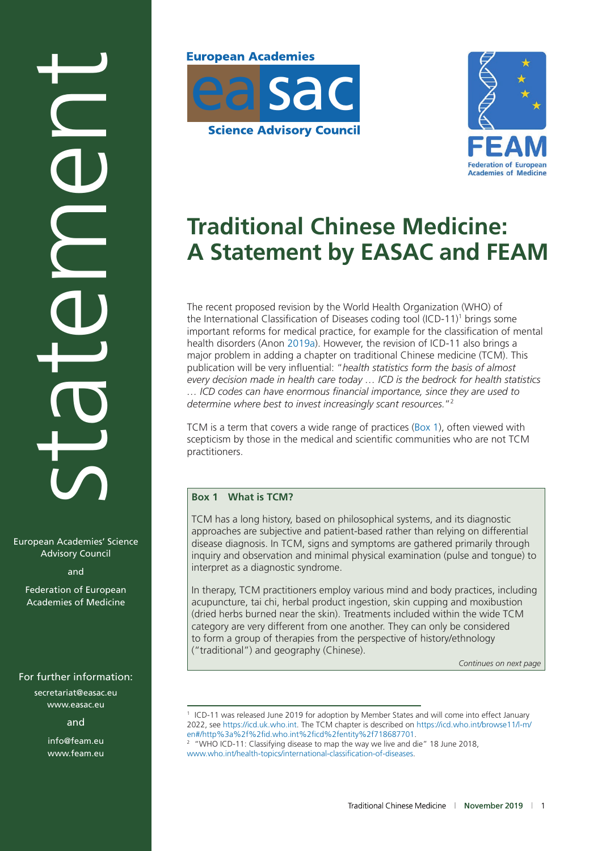# statement

European Academies' Science Advisory Council

and

Federation of European Academies of Medicine

secretariat@easac.eu [www.easac.eu](http://www.easac.eu/)

and

info@feam.eu [www.feam.eu](http://www.feam.eu/)





# **Traditional Chinese Medicine: A Statement by EASAC and FEAM**

The recent proposed revision by the World Health Organization (WHO) of the International Classification of Diseases coding tool (ICD-11)<sup>1</sup> brings some important reforms for medical practice, for example for the classification of mental health disorders (Anon [2019a\)](#page-4-0). However, the revision of ICD-11 also brings a major problem in adding a chapter on traditional Chinese medicine (TCM). This publication will be very influential: "*health statistics form the basis of almost every decision made in health care today … ICD is the bedrock for health statistics … ICD codes can have enormous financial importance, since they are used to determine where best to invest increasingly scant resources.*"2

TCM is a term that covers a wide range of practices (Box 1), often viewed with scepticism by those in the medical and scientific communities who are not TCM practitioners.

### **Box 1 What is TCM?**

TCM has a long history, based on philosophical systems, and its diagnostic approaches are subjective and patient-based rather than relying on differential disease diagnosis. In TCM, signs and symptoms are gathered primarily through inquiry and observation and minimal physical examination (pulse and tongue) to interpret as a diagnostic syndrome.

In therapy, TCM practitioners employ various mind and body practices, including acupuncture, tai chi, herbal product ingestion, skin cupping and moxibustion (dried herbs burned near the skin). Treatments included within the wide TCM category are very different from one another. They can only be considered to form a group of therapies from the perspective of history/ethnology ("traditional") and geography (Chinese).

*Continues on next page*

<sup>2</sup> "WHO ICD-11: Classifying disease to map the way we live and die" 18 June 2018, [www.who.int/health-topics/international-classification-of-diseases.](http://www.who.int/health-topics/international-classification-of-diseases)

<sup>&</sup>lt;sup>1</sup> ICD-11 was released June 2019 for adoption by Member States and will come into effect January 2022, see [https://icd.uk.who.int](https://icd.uk.who.int/). The TCM chapter is described on [https://icd.who.int/browse11/l-m/](https://icd.who.int/browse11/l-m/en#/http%3a%2f%2fid.who.int%2ficd%2fentity%2f718687701) [en#/http%3a%2f%2fid.who.int%2ficd%2fentity%2f718687701.](https://icd.who.int/browse11/l-m/en#/http%3a%2f%2fid.who.int%2ficd%2fentity%2f718687701) For further information:<br>
secretariat@easac.eu<br>
www.easac.eu<br>
and<br>  $\frac{2022}{2}$ , see https://icd.uk.who.int. The TCM chapter is described on https://icd.who.int/browse11/l-m/<br>
en#/http%3a%2f%2fid.who.int%2ficd%2fentity%2f/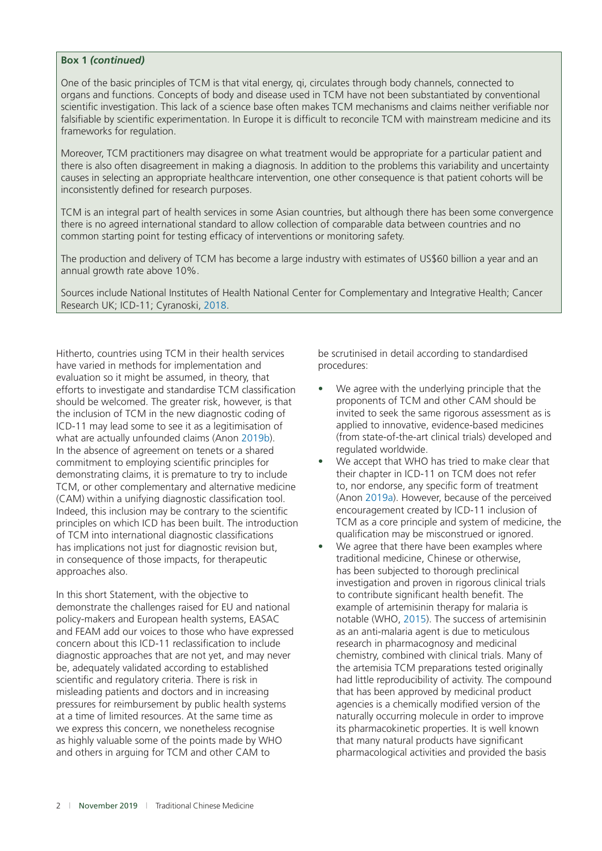### **Box 1** *(continued)*

One of the basic principles of TCM is that vital energy, qi, circulates through body channels, connected to organs and functions. Concepts of body and disease used in TCM have not been substantiated by conventional scientific investigation. This lack of a science base often makes TCM mechanisms and claims neither verifiable nor falsifiable by scientific experimentation. In Europe it is difficult to reconcile TCM with mainstream medicine and its frameworks for regulation.

Moreover, TCM practitioners may disagree on what treatment would be appropriate for a particular patient and there is also often disagreement in making a diagnosis. In addition to the problems this variability and uncertainty causes in selecting an appropriate healthcare intervention, one other consequence is that patient cohorts will be inconsistently defined for research purposes.

TCM is an integral part of health services in some Asian countries, but although there has been some convergence there is no agreed international standard to allow collection of comparable data between countries and no common starting point for testing efficacy of interventions or monitoring safety.

The production and delivery of TCM has become a large industry with estimates of US\$60 billion a year and an annual growth rate above 10%.

Sources include National Institutes of Health National Center for Complementary and Integrative Health; Cancer Research UK; ICD-11; Cyranoski, [2018.](#page-4-0)

Hitherto, countries using TCM in their health services have varied in methods for implementation and evaluation so it might be assumed, in theory, that efforts to investigate and standardise TCM classification should be welcomed. The greater risk, however, is that the inclusion of TCM in the new diagnostic coding of ICD-11 may lead some to see it as a legitimisation of what are actually unfounded claims (Anon [2019b\)](#page-4-0). In the absence of agreement on tenets or a shared commitment to employing scientific principles for demonstrating claims, it is premature to try to include TCM, or other complementary and alternative medicine (CAM) within a unifying diagnostic classification tool. Indeed, this inclusion may be contrary to the scientific principles on which ICD has been built. The introduction of TCM into international diagnostic classifications has implications not just for diagnostic revision but, in consequence of those impacts, for therapeutic approaches also.

In this short Statement, with the objective to demonstrate the challenges raised for EU and national policy-makers and European health systems, EASAC and FEAM add our voices to those who have expressed concern about this ICD-11 reclassification to include diagnostic approaches that are not yet, and may never be, adequately validated according to established scientific and regulatory criteria. There is risk in misleading patients and doctors and in increasing pressures for reimbursement by public health systems at a time of limited resources. At the same time as we express this concern, we nonetheless recognise as highly valuable some of the points made by WHO and others in arguing for TCM and other CAM to

be scrutinised in detail according to standardised procedures:

- We agree with the underlying principle that the proponents of TCM and other CAM should be invited to seek the same rigorous assessment as is applied to innovative, evidence-based medicines (from state-of-the-art clinical trials) developed and regulated worldwide.
- We accept that WHO has tried to make clear that their chapter in ICD-11 on TCM does not refer to, nor endorse, any specific form of treatment (Anon [2019a\)](#page-4-0). However, because of the perceived encouragement created by ICD-11 inclusion of TCM as a core principle and system of medicine, the qualification may be misconstrued or ignored.
- We agree that there have been examples where traditional medicine, Chinese or otherwise, has been subjected to thorough preclinical investigation and proven in rigorous clinical trials to contribute significant health benefit. The example of artemisinin therapy for malaria is notable (WHO, [2015\)](#page-4-0). The success of artemisinin as an anti-malaria agent is due to meticulous research in pharmacognosy and medicinal chemistry, combined with clinical trials. Many of the artemisia TCM preparations tested originally had little reproducibility of activity. The compound that has been approved by medicinal product agencies is a chemically modified version of the naturally occurring molecule in order to improve its pharmacokinetic properties. It is well known that many natural products have significant pharmacological activities and provided the basis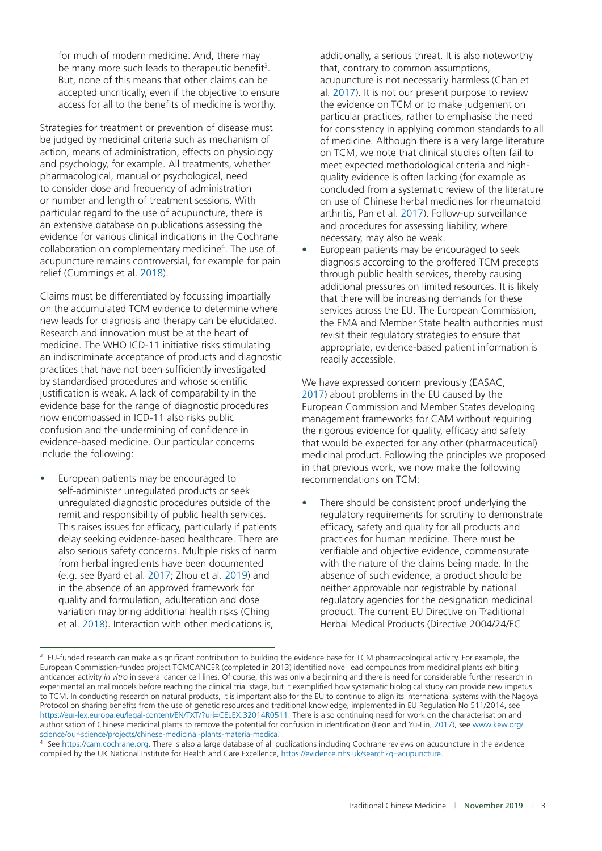for much of modern medicine. And, there may be many more such leads to therapeutic benefit<sup>3</sup>. But, none of this means that other claims can be accepted uncritically, even if the objective to ensure access for all to the benefits of medicine is worthy.

Strategies for treatment or prevention of disease must be judged by medicinal criteria such as mechanism of action, means of administration, effects on physiology and psychology, for example. All treatments, whether pharmacological, manual or psychological, need to consider dose and frequency of administration or number and length of treatment sessions. With particular regard to the use of acupuncture, there is an extensive database on publications assessing the evidence for various clinical indications in the Cochrane collaboration on complementary medicine<sup>4</sup>. The use of acupuncture remains controversial, for example for pain relief (Cummings et al. [2018](#page-4-0)).

Claims must be differentiated by focussing impartially on the accumulated TCM evidence to determine where new leads for diagnosis and therapy can be elucidated. Research and innovation must be at the heart of medicine. The WHO ICD-11 initiative risks stimulating an indiscriminate acceptance of products and diagnostic practices that have not been sufficiently investigated by standardised procedures and whose scientific justification is weak. A lack of comparability in the evidence base for the range of diagnostic procedures now encompassed in ICD-11 also risks public confusion and the undermining of confidence in evidence-based medicine. Our particular concerns include the following:

• European patients may be encouraged to self-administer unregulated products or seek unregulated diagnostic procedures outside of the remit and responsibility of public health services. This raises issues for efficacy, particularly if patients delay seeking evidence-based healthcare. There are also serious safety concerns. Multiple risks of harm from herbal ingredients have been documented (e.g. see Byard et al. [2017;](#page-4-0) Zhou et al. [2019\)](#page-4-0) and in the absence of an approved framework for quality and formulation, adulteration and dose variation may bring additional health risks (Ching et al. [2018\)](#page-4-0). Interaction with other medications is,

additionally, a serious threat. It is also noteworthy that, contrary to common assumptions, acupuncture is not necessarily harmless (Chan et al. [2017\)](#page-4-0). It is not our present purpose to review the evidence on TCM or to make judgement on particular practices, rather to emphasise the need for consistency in applying common standards to all of medicine. Although there is a very large literature on TCM, we note that clinical studies often fail to meet expected methodological criteria and highquality evidence is often lacking (for example as concluded from a systematic review of the literature on use of Chinese herbal medicines for rheumatoid arthritis, Pan et al. [2017\)](#page-4-0). Follow-up surveillance and procedures for assessing liability, where necessary, may also be weak.

• European patients may be encouraged to seek diagnosis according to the proffered TCM precepts through public health services, thereby causing additional pressures on limited resources. It is likely that there will be increasing demands for these services across the EU. The European Commission, the EMA and Member State health authorities must revisit their regulatory strategies to ensure that appropriate, evidence-based patient information is readily accessible.

We have expressed concern previously (EASAC, [2017\)](#page-4-0) about problems in the EU caused by the European Commission and Member States developing management frameworks for CAM without requiring the rigorous evidence for quality, efficacy and safety that would be expected for any other (pharmaceutical) medicinal product. Following the principles we proposed in that previous work, we now make the following recommendations on TCM:

There should be consistent proof underlying the regulatory requirements for scrutiny to demonstrate efficacy, safety and quality for all products and practices for human medicine. There must be verifiable and objective evidence, commensurate with the nature of the claims being made. In the absence of such evidence, a product should be neither approvable nor registrable by national regulatory agencies for the designation medicinal product. The current EU Directive on Traditional Herbal Medical Products (Directive 2004/24/EC

<sup>3</sup> EU-funded research can make a significant contribution to building the evidence base for TCM pharmacological activity. For example, the European Commission-funded project TCMCANCER (completed in 2013) identified novel lead compounds from medicinal plants exhibiting anticancer activity *in vitro* in several cancer cell lines. Of course, this was only a beginning and there is need for considerable further research in experimental animal models before reaching the clinical trial stage, but it exemplified how systematic biological study can provide new impetus to TCM. In conducting research on natural products, it is important also for the EU to continue to align its international systems with the Nagoya Protocol on sharing benefits from the use of genetic resources and traditional knowledge, implemented in EU Regulation No 511/2014, see [https://eur-lex.europa.eu/legal-content/EN/TXT/?uri](https://eur-lex.europa.eu/legal-content/EN/TXT/?uri=CELEX:32014R0511)=CELEX:32014R0511. There is also continuing need for work on the characterisation and authorisation of Chinese medicinal plants to remove the potential for confusion in identification (Leon and Yu-Lin, [2017](#page-4-0)), see [www.kew.org/](http://www.kew.org/science/our-science/projects/chinese-medicinal-plants-materia-medica) [science/our-science/projects/chinese-medicinal-plants-materia-medica.](http://www.kew.org/science/our-science/projects/chinese-medicinal-plants-materia-medica)

See [https://cam.cochrane.org.](https://cam.cochrane.org/) There is also a large database of all publications including Cochrane reviews on acupuncture in the evidence compiled by the UK National Institute for Health and Care Excellence, [https://evidence.nhs.uk/search?q](https://evidence.nhs.uk/search?q=acupuncture)=acupuncture.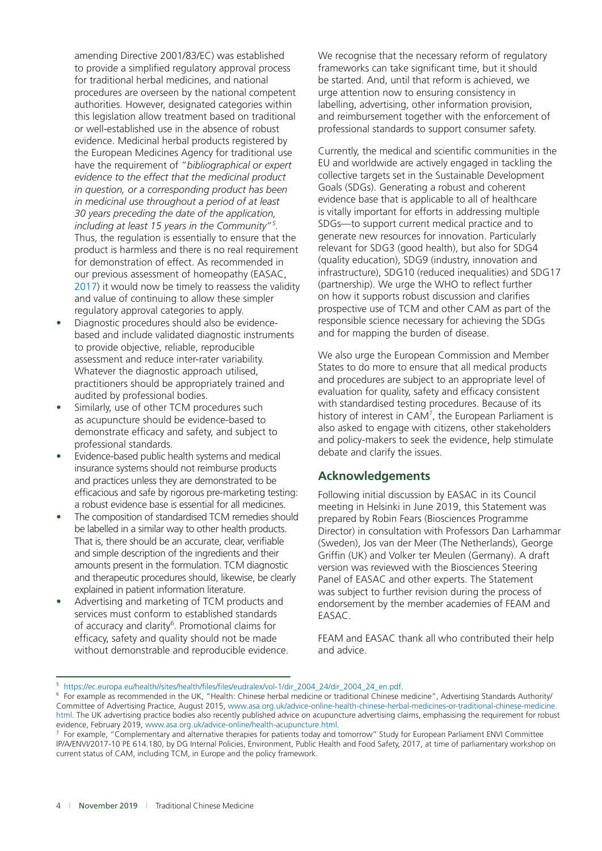amending Directive 2001/83/EC) was established to provide a simplified regulatory approval process for traditional herbal medicines, and national procedures are overseen by the national competent authorities. However, designated categories within this legislation allow treatment based on traditional or well-established use in the absence of robust evidence. Medicinal herbal products registered by the European Medicines Agency for traditional use have the requirement of "*bibliographical or expert evidence to the effect that the medicinal product in question, or a corresponding product has been in medicinal use throughout a period of at least 30 years preceding the date of the application, including at least 15 years in the Community*"*<sup>5</sup> .*  Thus, the regulation is essentially to ensure that the product is harmless and there is no real requirement for demonstration of effect. As recommended in our previous assessment of homeopathy (EASAC, [2017\)](#page-4-0) it would now be timely to reassess the validity and value of continuing to allow these simpler regulatory approval categories to apply.

- Diagnostic procedures should also be evidencebased and include validated diagnostic instruments to provide objective, reliable, reproducible assessment and reduce inter-rater variability. Whatever the diagnostic approach utilised, practitioners should be appropriately trained and audited by professional bodies.
- Similarly, use of other TCM procedures such as acupuncture should be evidence-based to demonstrate efficacy and safety, and subject to professional standards.
- Evidence-based public health systems and medical insurance systems should not reimburse products and practices unless they are demonstrated to be efficacious and safe by rigorous pre-marketing testing: a robust evidence base is essential for all medicines.
- The composition of standardised TCM remedies should be labelled in a similar way to other health products. That is, there should be an accurate, clear, verifiable and simple description of the ingredients and their amounts present in the formulation. TCM diagnostic and therapeutic procedures should, likewise, be clearly explained in patient information literature.
- Advertising and marketing of TCM products and services must conform to established standards of accuracy and clarity<sup>6</sup>. Promotional claims for efficacy, safety and quality should not be made without demonstrable and reproducible evidence.

We recognise that the necessary reform of regulatory frameworks can take significant time, but it should be started. And, until that reform is achieved, we urge attention now to ensuring consistency in labelling, advertising, other information provision, and reimbursement together with the enforcement of professional standards to support consumer safety.

Currently, the medical and scientific communities in the EU and worldwide are actively engaged in tackling the collective targets set in the Sustainable Development Goals (SDGs). Generating a robust and coherent evidence base that is applicable to all of healthcare is vitally important for efforts in addressing multiple SDGs—to support current medical practice and to generate new resources for innovation. Particularly relevant for SDG3 (good health), but also for SDG4 (quality education), SDG9 (industry, innovation and infrastructure), SDG10 (reduced inequalities) and SDG17 (partnership). We urge the WHO to reflect further on how it supports robust discussion and clarifies prospective use of TCM and other CAM as part of the responsible science necessary for achieving the SDGs and for mapping the burden of disease.

We also urge the European Commission and Member States to do more to ensure that all medical products and procedures are subject to an appropriate level of evaluation for quality, safety and efficacy consistent with standardised testing procedures. Because of its history of interest in  $CAM^7$ , the European Parliament is also asked to engage with citizens, other stakeholders and policy-makers to seek the evidence, help stimulate debate and clarify the issues.

## **Acknowledgements**

Following initial discussion by EASAC in its Council meeting in Helsinki in June 2019, this Statement was prepared by Robin Fears (Biosciences Programme Director) in consultation with Professors Dan Larhammar (Sweden), Jos van der Meer (The Netherlands), George Griffin (UK) and Volker ter Meulen (Germany). A draft version was reviewed with the Biosciences Steering Panel of EASAC and other experts. The Statement was subject to further revision during the process of endorsement by the member academies of FEAM and EASAC.

FEAM and EASAC thank all who contributed their help and advice.

<sup>5</sup> [https://ec.europa.eu/health//sites/health/files/files/eudralex/vol-1/dir\\_2004\\_24/dir\\_2004\\_24\\_en.pdf.](https://ec.europa.eu/health//sites/health/files/files/eudralex/vol-1/dir_2004_24/dir_2004_24_en.pdf)

<sup>6</sup> For example as recommended in the UK, "Health: Chinese herbal medicine or traditional Chinese medicine", Advertising Standards Authority/ Committee of Advertising Practice, August 2015, [www.asa.org.uk/advice-online-health-chinese-herbal-medicines-or-traditional-chinese-medicine.](http://www.asa.org.uk/advice-online-health-chinese-herbal-medicines-or-traditional-chinese-medicine.html) [html](http://www.asa.org.uk/advice-online-health-chinese-herbal-medicines-or-traditional-chinese-medicine.html). The UK advertising practice bodies also recently published advice on acupuncture advertising claims, emphasising the requirement for robust evidence, February 2019, [www.asa.org.uk/advice-online/health-acupuncture.html](http://www.asa.org.uk/advice-online/health-acupuncture.html).

<sup>7</sup> For example, "Complementary and alternative therapies for patients today and tomorrow" Study for European Parliament ENVI Committee IP/A/ENVI/2017-10 PE 614.180, by DG Internal Policies, Environment, Public Health and Food Safety, 2017, at time of parliamentary workshop on current status of CAM, including TCM, in Europe and the policy framework.